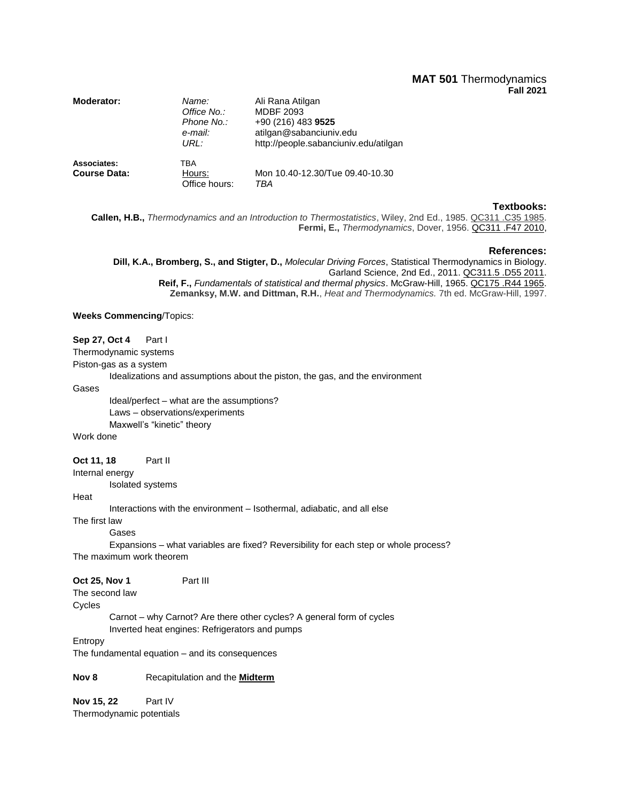# **MAT 501** Thermodynamics **Fall 2021**

| Moderator:                         | Name:<br>Office No.:<br>Phone No.:<br>e-mail:<br>URI : | Ali Rana Atilgan<br><b>MDBF 2093</b><br>+90 (216) 483 9525<br>atilgan@sabanciuniv.edu<br>http://people.sabanciuniv.edu/atilgan |
|------------------------------------|--------------------------------------------------------|--------------------------------------------------------------------------------------------------------------------------------|
| Associates:<br><b>Course Data:</b> | TBA<br>Hours:<br>Office hours:                         | Mon 10.40-12.30/Tue 09.40-10.30<br>TBA                                                                                         |

### **Textbooks:**

**Callen, H.B.,** *Thermodynamics and an Introduction to Thermostatistics*, Wiley, 2nd Ed., 1985. QC311 .C35 1985. **Fermi, E.,** *Thermodynamics*, Dover, 1956. [QC311 .F47 2010,](https://risc01.sabanciuniv.edu/search~S9?/cQC311+.F47+2010/cqc++311+f47+2010/-3,-1,,E/browse)

#### **References:**

**Dill, K.A., Bromberg, S., and Stigter, D.,** *Molecular Driving Forces*, Statistical Thermodynamics in Biology. Garland Science, 2nd Ed., 2011. QC311.5 .D55 2011. **Reif, F.,** *Fundamentals of statistical and thermal physics*. McGraw-Hill, 1965. QC175 .R44 1965. **Zemanksy, M.W. and Dittman, R.H.**, *Heat and Thermodynamics.* 7th ed. McGraw-Hill, 1997.

### **Weeks Commencing**/Topics:

## **Sep 27, Oct 4** Part I

Thermodynamic systems

Piston-gas as a system

Idealizations and assumptions about the piston, the gas, and the environment

Gases

Ideal/perfect – what are the assumptions? Laws – observations/experiments Maxwell's "kinetic" theory

Work done

### **Oct 11, 18** Part II

Internal energy

Isolated systems

## **Heat**

Interactions with the environment – Isothermal, adiabatic, and all else

The first law

Gases

Expansions – what variables are fixed? Reversibility for each step or whole process? The maximum work theorem

The second law

Cycles

Carnot – why Carnot? Are there other cycles? A general form of cycles Inverted heat engines: Refrigerators and pumps

Entropy

The fundamental equation – and its consequences

**Nov 8** Recapitulation and the **Midterm**

**Nov 15, 22** Part IV Thermodynamic potentials